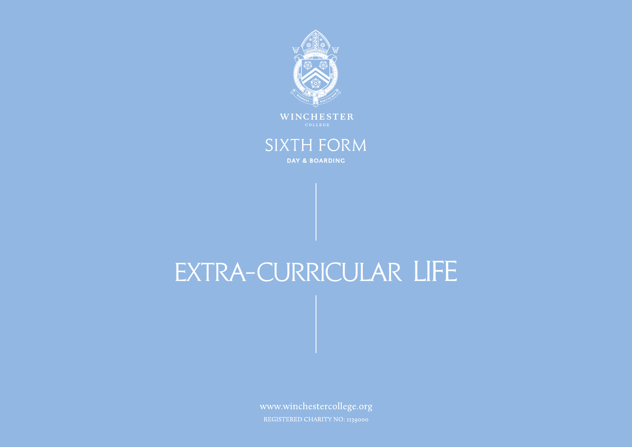

# **SIXTH FORM** DAY & BOARDING

# Extra-curricular life

www.winchestercollege.org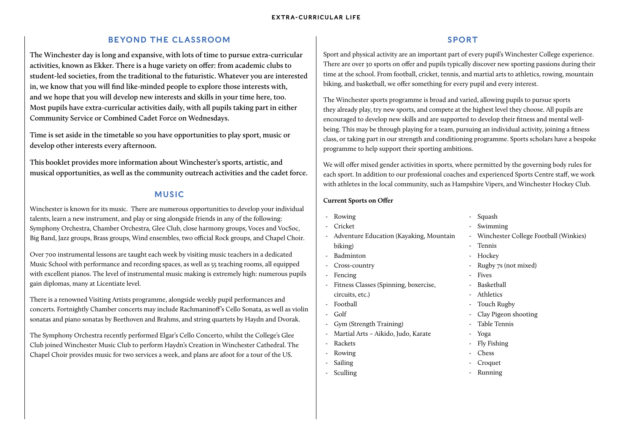# BEYOND THE CLASSROOM

**The Winchester day is long and expansive, with lots of time to pursue extra-curricular activities, known as Ekker. There is a huge variety on offer: from academic clubs to student-led societies, from the traditional to the futuristic. Whatever you are interested in, we know that you will find like-minded people to explore those interests with, and we hope that you will develop new interests and skills in your time here, too. Most pupils have extra-curricular activities daily, with all pupils taking part in either Community Service or Combined Cadet Force on Wednesdays.** 

**Time is set aside in the timetable so you have opportunities to play sport, music or develop other interests every afternoon.**

**This booklet provides more information about Winchester's sports, artistic, and musical opportunities, as well as the community outreach activities and the cadet force.**

# MUSIC

Winchester is known for its music. There are numerous opportunities to develop your individual talents, learn a new instrument, and play or sing alongside friends in any of the following: Symphony Orchestra, Chamber Orchestra, Glee Club, close harmony groups, Voces and VocSoc, Big Band, Jazz groups, Brass groups, Wind ensembles, two official Rock groups, and Chapel Choir.

Over 700 instrumental lessons are taught each week by visiting music teachers in a dedicated Music School with performance and recording spaces, as well as 55 teaching rooms, all equipped with excellent pianos. The level of instrumental music making is extremely high: numerous pupils gain diplomas, many at Licentiate level.

There is a renowned Visiting Artists programme, alongside weekly pupil performances and concerts. Fortnightly Chamber concerts may include Rachmaninoff's Cello Sonata, as well as violin sonatas and piano sonatas by Beethoven and Brahms, and string quartets by Haydn and Dvorak.

The Symphony Orchestra recently performed Elgar's Cello Concerto, whilst the College's Glee Club joined Winchester Music Club to perform Haydn's Creation in Winchester Cathedral. The Chapel Choir provides music for two services a week, and plans are afoot for a tour of the US.

# SPORT

Sport and physical activity are an important part of every pupil's Winchester College experience. There are over 30 sports on offer and pupils typically discover new sporting passions during their time at the school. From football, cricket, tennis, and martial arts to athletics, rowing, mountain biking, and basketball, we offer something for every pupil and every interest.

The Winchester sports programme is broad and varied, allowing pupils to pursue sports they already play, try new sports, and compete at the highest level they choose. All pupils are encouraged to develop new skills and are supported to develop their fitness and mental wellbeing. This may be through playing for a team, pursuing an individual activity, joining a fitness class, or taking part in our strength and conditioning programme. Sports scholars have a bespoke programme to help support their sporting ambitions.

We will offer mixed gender activities in sports, where permitted by the governing body rules for each sport. In addition to our professional coaches and experienced Sports Centre staff, we work with athletes in the local community, such as Hampshire Vipers, and Winchester Hockey Club.

#### **Current Sports on Offer**

- Rowing - Cricket - Adventure Education (Kayaking, Mountain biking) - Badminton - Cross-country **Fencing** - Fitness Classes (Spinning, boxercise, circuits, etc.) - Football - Golf - Gym (Strength Training) - Martial Arts – Aikido, Judo, Karate - Rackets - Rowing - Sailing - Squash - Swimming - Winchester College Football (Winkies) - Tennis - Hockey - Rugby 7s (not mixed) - Fives - Basketball **Athletics** Touch Rugby - Clay Pigeon shooting - Table Tennis - Yoga - Fly Fishing Chess - Croquet - Running
- Sculling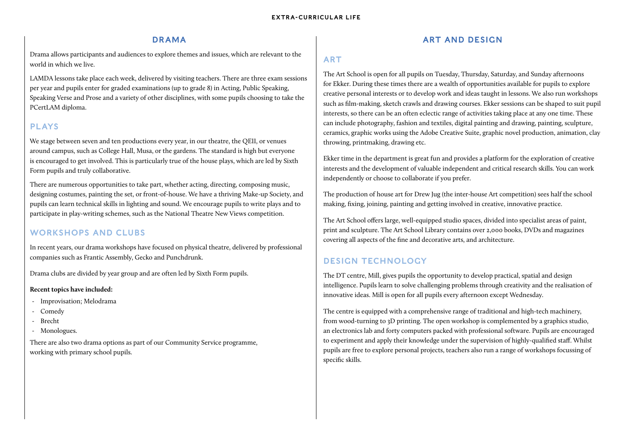# DRAMA

Drama allows participants and audiences to explore themes and issues, which are relevant to the world in which we live.

LAMDA lessons take place each week, delivered by visiting teachers. There are three exam sessions per year and pupils enter for graded examinations (up to grade 8) in Acting, Public Speaking, Speaking Verse and Prose and a variety of other disciplines, with some pupils choosing to take the PCertLAM diploma.

# PLAYS

We stage between seven and ten productions every year, in our theatre, the QEII, or venues around campus, such as College Hall, Musa, or the gardens. The standard is high but everyone is encouraged to get involved. This is particularly true of the house plays, which are led by Sixth Form pupils and truly collaborative.

There are numerous opportunities to take part, whether acting, directing, composing music, designing costumes, painting the set, or front-of-house. We have a thriving Make-up Society, and pupils can learn technical skills in lighting and sound. We encourage pupils to write plays and to participate in play-writing schemes, such as the National Theatre New Views competition.

# WORKSHOPS AND CLUBS

In recent years, our drama workshops have focused on physical theatre, delivered by professional companies such as Frantic Assembly, Gecko and Punchdrunk.

Drama clubs are divided by year group and are often led by Sixth Form pupils.

#### **Recent topics have included:**

- Improvisation; Melodrama
- Comedy
- Brecht
- Monologues.

There are also two drama options as part of our Community Service programme, working with primary school pupils.

# ART AND DESIGN

## ART

The Art School is open for all pupils on Tuesday, Thursday, Saturday, and Sunday afternoons for Ekker. During these times there are a wealth of opportunities available for pupils to explore creative personal interests or to develop work and ideas taught in lessons. We also run workshops such as film-making, sketch crawls and drawing courses. Ekker sessions can be shaped to suit pupil interests, so there can be an often eclectic range of activities taking place at any one time. These can include photography, fashion and textiles, digital painting and drawing, painting, sculpture, ceramics, graphic works using the Adobe Creative Suite, graphic novel production, animation, clay throwing, printmaking, drawing etc.

Ekker time in the department is great fun and provides a platform for the exploration of creative interests and the development of valuable independent and critical research skills. You can work independently or choose to collaborate if you prefer.

The production of house art for Drew Jug (the inter-house Art competition) sees half the school making, fixing, joining, painting and getting involved in creative, innovative practice.

The Art School offers large, well-equipped studio spaces, divided into specialist areas of paint, print and sculpture. The Art School Library contains over 2,000 books, DVDs and magazines covering all aspects of the fine and decorative arts, and architecture.

# DESIGN TECHNOLOGY

The DT centre, Mill, gives pupils the opportunity to develop practical, spatial and design intelligence. Pupils learn to solve challenging problems through creativity and the realisation of innovative ideas. Mill is open for all pupils every afternoon except Wednesday.

The centre is equipped with a comprehensive range of traditional and high-tech machinery, from wood-turning to 3D printing. The open workshop is complemented by a graphics studio, an electronics lab and forty computers packed with professional software. Pupils are encouraged to experiment and apply their knowledge under the supervision of highly-qualified staff. Whilst pupils are free to explore personal projects, teachers also run a range of workshops focussing of specific skills.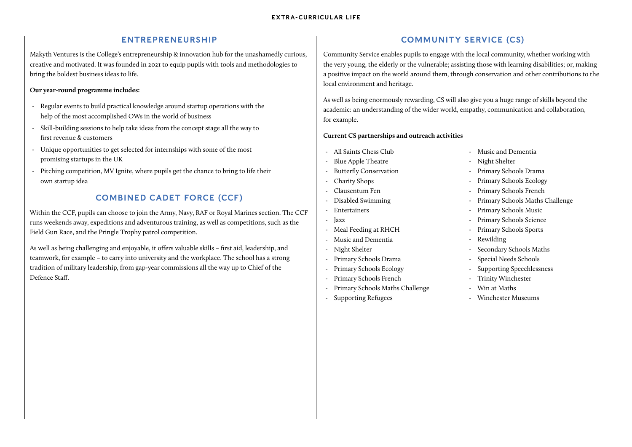# ENTREPRENEURSHIP

Makyth Ventures is the College's entrepreneurship & innovation hub for the unashamedly curious, creative and motivated. It was founded in 2021 to equip pupils with tools and methodologies to bring the boldest business ideas to life.

#### **Our year-round programme includes:**

- Regular events to build practical knowledge around startup operations with the help of the most accomplished OWs in the world of business
- Skill-building sessions to help take ideas from the concept stage all the way to first revenue & customers
- Unique opportunities to get selected for internships with some of the most promising startups in the UK
- Pitching competition, MV Ignite, where pupils get the chance to bring to life their own startup idea

# COMBINED CADET FORCE (CCF)

Within the CCF, pupils can choose to join the Army, Navy, RAF or Royal Marines section. The CCF runs weekends away, expeditions and adventurous training, as well as competitions, such as the Field Gun Race, and the Pringle Trophy patrol competition.

As well as being challenging and enjoyable, it offers valuable skills – first aid, leadership, and teamwork, for example – to carry into university and the workplace. The school has a strong tradition of military leadership, from gap-year commissions all the way up to Chief of the Defence Staff.

# COMMUNITY SERVICE (CS)

Community Service enables pupils to engage with the local community, whether working with the very young, the elderly or the vulnerable; assisting those with learning disabilities; or, making a positive impact on the world around them, through conservation and other contributions to the local environment and heritage.

As well as being enormously rewarding, CS will also give you a huge range of skills beyond the academic: an understanding of the wider world, empathy, communication and collaboration, for example.

### **Current CS partnerships and outreach activities**

- All Saints Chess Club
- Blue Apple Theatre
- Butterfly Conservation
- Charity Shops
- Clausentum Fen
- Disabled Swimming
- **Entertainers**
- Jazz
- Meal Feeding at RHCH
- Music and Dementia
- Night Shelter
- Primary Schools Drama
- Primary Schools Ecology
- Primary Schools French
- Primary Schools Maths Challenge
- Supporting Refugees
- Music and Dementia
- Night Shelter
- Primary Schools Drama
- Primary Schools Ecology
- Primary Schools French
- Primary Schools Maths Challenge
- Primary Schools Music
- Primary Schools Science
- Primary Schools Sports
- **Rewilding**
- Secondary Schools Maths
- Special Needs Schools
- Supporting Speechlessness
- Trinity Winchester
- Win at Maths
- Winchester Museums